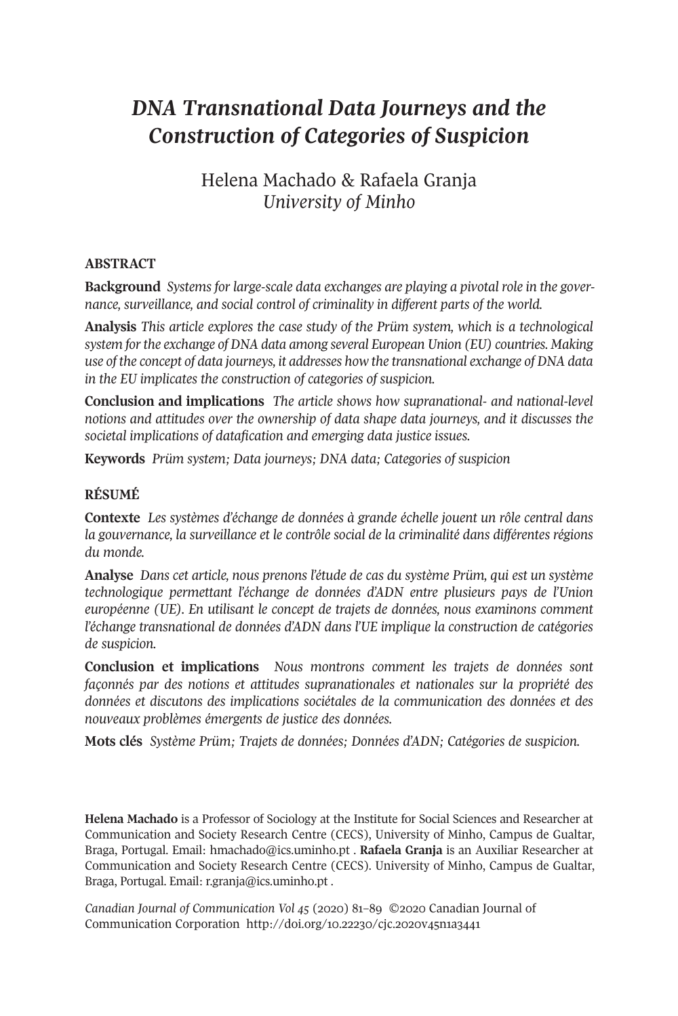# *DNA Transnational Data Journeys and the Construction of Categories of Suspicion*

Helena Machado & Rafaela Granja *University of Minho*

### **ABSTRACT**

**Background** *Systems for large-scale data exchanges are playing a pivotal role in the governance, surveillance, and social control of criminality in different parts of the world.*

**Analysis** *This article explores the case study of the Prüm system, which is a technological system forthe exchange of DNA data among several European Union (EU) countries. Making use of the concept of data journeys, it addresses how the transnational exchange of DNA data in the EU implicates the construction of categories of suspicion.*

**Conclusion and implications** *The article shows how supranational- and national-level notions and attitudes over the ownership of data shape data journeys, and it discusses the societal implications of datafication and emerging data justice issues.*

**Keywords** *Prüm system; Data journeys; DNA data; Categories of suspicion*

## **RÉSUMÉ**

**Contexte** *Les systèmes d'échange de données à grande échelle jouent un rôle central dans la gouvernance, la surveillance et le contrôle social de la criminalité dans différentes régions du monde.*

**Analyse** *Dans cet article, nous prenons l'étude de cas du système Prüm, qui est un système technologique permettant l'échange de données d'ADN entre plusieurs pays de l'Union européenne (UE). En utilisant le concept de trajets de données, nous examinons comment l'échange transnational de données d'ADN dans l'UE implique la construction de catégories de suspicion.*

**Conclusion et implications** *Nous montrons comment les trajets de données sont façonnés par des notions et attitudes supranationales et nationales sur la propriété des données et discutons des implications sociétales de la communication des données et des nouveaux problèmes émergents de justice des données.*

**Mots clés** *Système Prüm; Trajets de données; Données d'ADN; Catégories de suspicion.*

**Helena Machado** is a Professor of Sociology at the Institute for Social Sciences and Researcher at Communication and Society Research Centre (CECS), University of Minho, Campus de Gualtar, Braga, Portugal. Email: [hmachado@ics.uminho.pt](mailto:hmachado@ics.uminho.pt) . **Rafaela Granja** is an Auxiliar Researcher at Communication and Society Research Centre (CECS). University of Minho, Campus de Gualtar, Braga, Portugal. Email: [r.granja@ics.uminho.pt](mailto:r.granja@ics.uminho.pt) .

*Canadian Journal of [Communication](http://www.cjc-online.ca) Vol 45* (2020) 81–89 ©2020 Canadian Journal of Communication Corporation <http://doi.org/10.22230/cjc.2020v45n1a3441>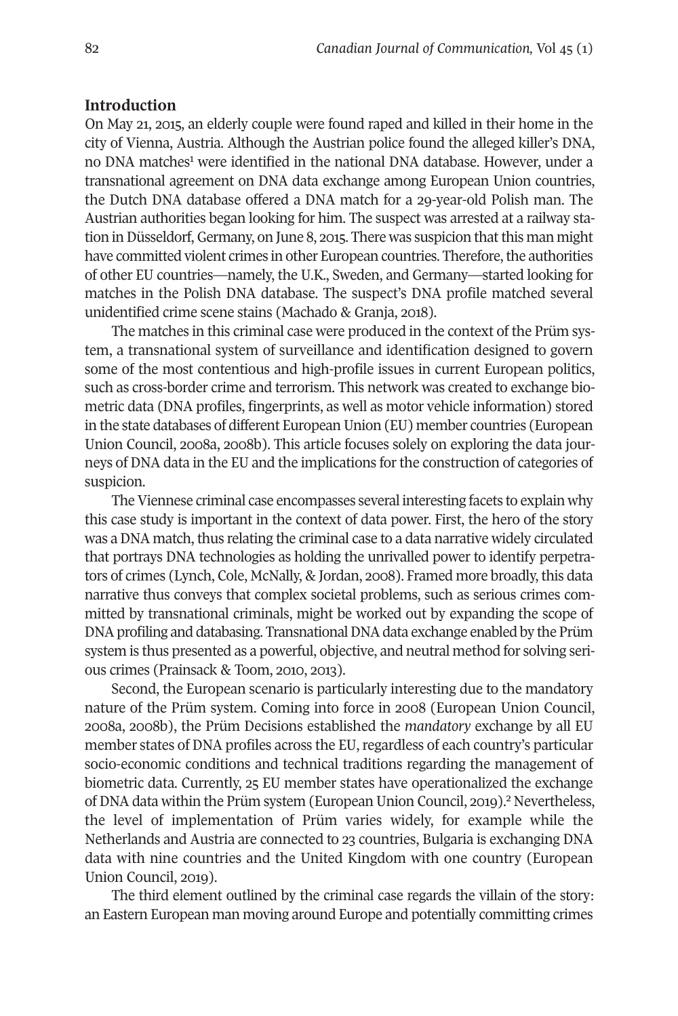### **Introduction**

On May 21, 2015, an elderly couple were found raped and killed in their home in the city of Vienna, Austria. Although the Austrian police found the alleged killer's DNA, no DNA matches<sup>1</sup> were identified in the national DNA database. However, under a transnational agreement on DNA data exchange among European Union countries, the Dutch DNA database offered a DNA match for a 29-year-old Polish man. The Austrian authorities began looking for him. The suspect was arrested at a railway station in Düsseldorf, Germany, on June 8, 2015. There was suspicion that this man might have committed violent crimes in other European countries. Therefore, the authorities of other EU countries—namely, the U.K., Sweden, and Germany—started looking for matches in the Polish DNA database. The suspect's DNA profile matched several unidentified crime scene stains (Machado & Granja, 2018).

The matches in this criminal case were produced in the context of the Prüm system, a transnational system of surveillance and identification designed to govern some of the most contentious and high-profile issues in current European politics, such as cross-border crime and terrorism. This network was created to exchange biometric data (DNA profiles, fingerprints, as well as motor vehicle information) stored in the state databases of different European Union (EU) member countries (European Union Council, 2008a, 2008b). This article focuses solely on exploring the data journeys of DNA data in the EU and the implications forthe construction of categories of suspicion.

The Viennese criminal case encompasses several interesting facets to explain why this case study is important in the context of data power. First, the hero of the story was a DNA match, thus relating the criminal case to a data narrative widely circulated that portrays DNA technologies as holding the unrivalled power to identify perpetrators of crimes (Lynch, Cole, McNally, & Jordan, 2008). Framed more broadly, this data narrative thus conveys that complex societal problems, such as serious crimes committed by transnational criminals, might be worked out by expanding the scope of DNA profiling and databasing. Transnational DNA data exchange enabled by the Prüm system is thus presented as a powerful, objective, and neutral method for solving serious crimes (Prainsack & Toom, 2010, 2013).

Second, the European scenario is particularly interesting due to the mandatory nature of the Prüm system. Coming into force in 2008 (European Union Council, 2008a, 2008b), the Prüm Decisions established the *mandatory* exchange by all EU member states of DNA profiles across the EU, regardless of each country's particular socio-economic conditions and technical traditions regarding the management of biometric data. Currently, 25 EU member states have operationalized the exchange of DNA data within the Prüm system (European Union Council, 2019). [2](#page-7-1) Nevertheless, the level of implementation of Prüm varies widely, for example while the Netherlands and Austria are connected to 23 countries, Bulgaria is exchanging DNA data with nine countries and the United Kingdom with one country (European Union Council, 2019).

The third element outlined by the criminal case regards the villain of the story: an Eastern European man moving around Europe and potentially committing crimes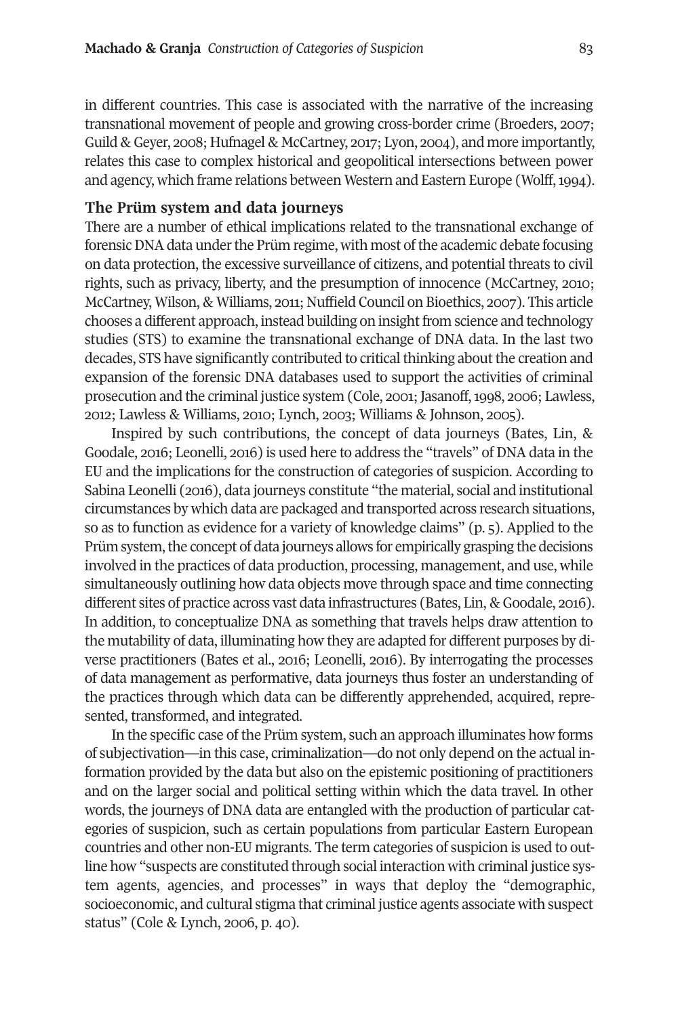in different countries. This case is associated with the narrative of the increasing transnational movement of people and growing cross-border crime (Broeders, 2007; Guild & Geyer, 2008; Hufnagel & McCartney, 2017; Lyon, 2004), and more importantly, relates this case to complex historical and geopolitical intersections between power and agency, which frame relations between Western and Eastern Europe (Wolff, 1994).

#### **The Prüm system and data journeys**

There are a number of ethical implications related to the transnational exchange of forensic DNA data under the Prüm regime, with most of the academic debate focusing on data protection, the excessive surveillance of citizens, and potential threats to civil rights, such as privacy, liberty, and the presumption of innocence (McCartney, 2010; McCartney, Wilson, & Williams, 2011; Nuffield Council on Bioethics, 2007). This article chooses a different approach, instead building on insight from science and technology studies (STS) to examine the transnational exchange of DNA data. In the last two decades, STS have significantly contributed to critical thinking about the creation and expansion of the forensic DNA databases used to support the activities of criminal prosecution and the criminal justice system (Cole, 2001; Jasanoff, 1998, 2006; Lawless, 2012; Lawless & Williams, 2010; Lynch, 2003; Williams & Johnson, 2005).

Inspired by such contributions, the concept of data journeys (Bates, Lin, & Goodale, 2016; Leonelli, 2016) is used here to address the "travels" of DNA data in the EU and the implications for the construction of categories of suspicion. According to Sabina Leonelli (2016), data journeys constitute "the material, social and institutional circumstances by which data are packaged and transported across research situations, so as to function as evidence for a variety of knowledge claims" (p. 5). Applied to the Prüm system, the concept of data journeys allows for empirically grasping the decisions involved in the practices of data production, processing, management, and use, while simultaneously outlining how data objects move through space and time connecting different sites of practice across vast data infrastructures (Bates, Lin, & Goodale, 2016). In addition, to conceptualize DNA as something that travels helps draw attention to the mutability of data, illuminating how they are adapted for different purposes by diverse practitioners (Bates et al., 2016; Leonelli, 2016). By interrogating the processes of data management as performative, data journeys thus foster an understanding of the practices through which data can be differently apprehended, acquired, represented, transformed, and integrated.

In the specific case of the Prüm system, such an approach illuminates how forms of subjectivation—in this case, criminalization—do not only depend on the actual information provided by the data but also on the epistemic positioning of practitioners and on the larger social and political setting within which the data travel. In other words, the journeys of DNA data are entangled with the production of particular categories of suspicion, such as certain populations from particular Eastern European countries and other non-EU migrants. The term categories of suspicion is used to outline how "suspects are constituted through social interaction with criminal justice system agents, agencies, and processes" in ways that deploy the "demographic, socioeconomic, and cultural stigma that criminal justice agents associate with suspect status" (Cole & Lynch, 2006, p. 40).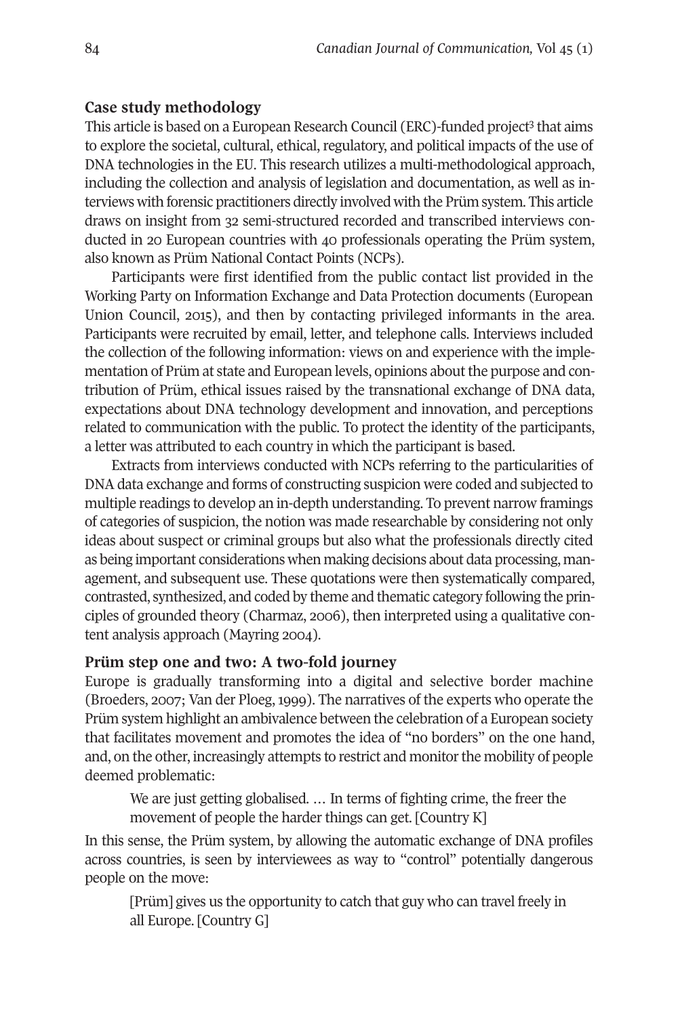## **Case study methodology**

This article is based on a European Research Council (ERC)-funded project [3](#page-7-2) that aims to explore the societal, cultural, ethical, regulatory, and political impacts of the use of DNA technologies in the EU. This research utilizes a multi-methodological approach, including the collection and analysis of legislation and documentation, as well as interviews with forensic practitioners directly involved with the Prüm system. This article draws on insight from 32 semi-structured recorded and transcribed interviews conducted in 20 European countries with 40 professionals operating the Prüm system, also known as Prüm National Contact Points (NCPs).

Participants were first identified from the public contact list provided in the Working Party on Information Exchange and Data Protection documents (European Union Council, 2015), and then by contacting privileged informants in the area. Participants were recruited by email, letter, and telephone calls. Interviews included the collection of the following information: views on and experience with the implementation of Prüm at state and European levels, opinions about the purpose and contribution of Prüm, ethical issues raised by the transnational exchange of DNA data, expectations about DNA technology development and innovation, and perceptions related to communication with the public. To protect the identity of the participants, a letter was attributed to each country in which the participant is based.

Extracts from interviews conducted with NCPs referring to the particularities of DNA data exchange and forms of constructing suspicion were coded and subjected to multiple readings to develop an in-depth understanding. To prevent narrow framings of categories of suspicion, the notion was made researchable by considering not only ideas about suspect or criminal groups but also what the professionals directly cited as being important considerations when making decisions about data processing, management, and subsequent use. These quotations were then systematically compared, contrasted, synthesized, and coded by theme and thematic category following the principles of grounded theory (Charmaz, 2006), then interpreted using a qualitative content analysis approach (Mayring 2004).

#### **Prüm step one and two: A two-fold journey**

Europe is gradually transforming into a digital and selective border machine (Broeders, 2007; Van der Ploeg, 1999). The narratives of the experts who operate the Prüm system highlight an ambivalence between the celebration of a European society that facilitates movement and promotes the idea of "no borders" on the one hand, and, on the other, increasingly attempts to restrict and monitor the mobility of people deemed problematic:

We are just getting globalised. ... In terms of fighting crime, the freer the movement of people the harder things can get. [Country K]

In this sense, the Prüm system, by allowing the automatic exchange of DNA profiles across countries, is seen by interviewees as way to "control" potentially dangerous people on the move:

[Prüm] gives us the opportunity to catch that guy who can travel freely in all Europe. [Country G]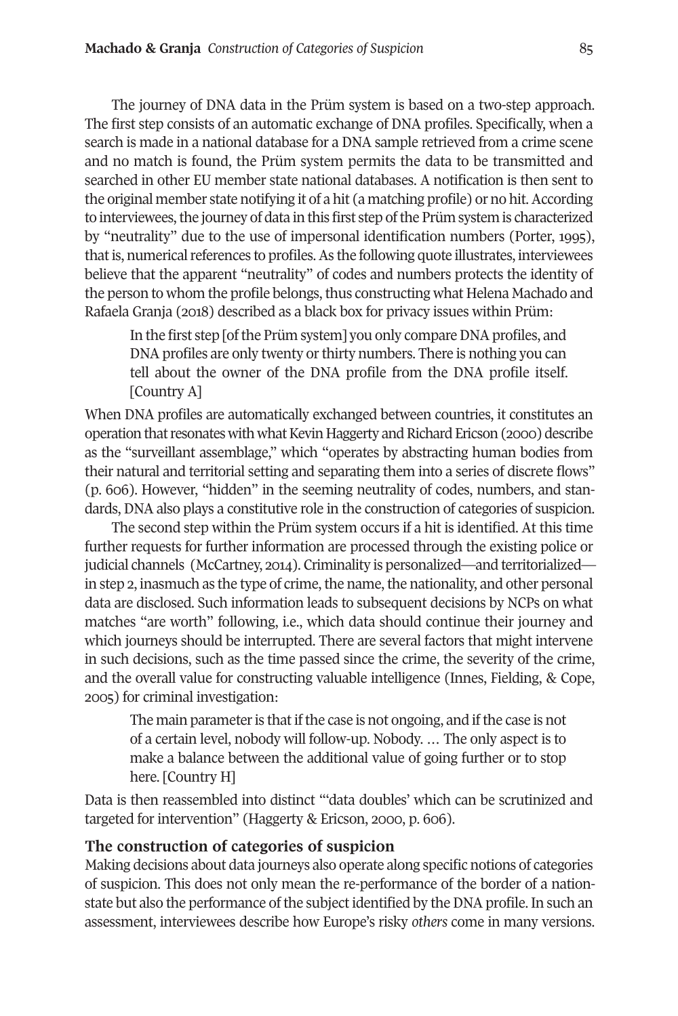The journey of DNA data in the Prüm system is based on a two-step approach. The first step consists of an automatic exchange of DNA profiles. Specifically, when a search is made in a national database for a DNA sample retrieved from a crime scene and no match is found, the Prüm system permits the data to be transmitted and searched in other EU member state national databases. A notification is then sent to the original member state notifying it of a hit (a matching profile) or no hit.According to interviewees, the journey of data in this first step of the Prüm system is characterized by "neutrality" due to the use of impersonal identification numbers (Porter, 1995), that is, numerical references to profiles. As the following quote illustrates, interviewees believe that the apparent "neutrality" of codes and numbers protects the identity of the person to whom the profile belongs, thus constructing what Helena Machado and Rafaela Granja (2018) described as a black box for privacy issues within Prüm:

In the first step [of the Prüm system] you only compare DNA profiles, and DNA profiles are only twenty or thirty numbers. There is nothing you can tell about the owner of the DNA profile from the DNA profile itself. [Country A]

When DNA profiles are automatically exchanged between countries, it constitutes an operation that resonates with what Kevin Haggerty and Richard Ericson (2000) describe as the "surveillant assemblage," which "operates by abstracting human bodies from their natural and territorial setting and separating them into a series of discrete flows" (p. 606). However, "hidden" in the seeming neutrality of codes, numbers, and standards, DNA also plays a constitutive role in the construction of categories of suspicion.

The second step within the Prüm system occurs if a hit is identified. At this time further requests for further information are processed through the existing police or judicial channels (McCartney, 2014). Criminality is personalized—and territorialized in step 2, inasmuch as the type of crime, the name, the nationality, and other personal data are disclosed. Such information leads to subsequent decisions by NCPs on what matches "are worth" following, i.e., which data should continue their journey and which journeys should be interrupted. There are several factors that might intervene in such decisions, such as the time passed since the crime, the severity of the crime, and the overall value for constructing valuable intelligence (Innes, Fielding, & Cope, 2005) for criminal investigation:

The main parameter is that if the case is not ongoing, and if the case is not of a certain level, nobody will follow-up. Nobody. … The only aspect is to make a balance between the additional value of going further or to stop here. [Country H]

Data is then reassembled into distinct "'data doubles' which can be scrutinized and targeted for intervention" (Haggerty & Ericson, 2000, p. 606).

### **The construction of categories of suspicion**

Making decisions about data journeys also operate along specific notions of categories of suspicion. This does not only mean the re-performance of the border of a nationstate but also the performance of the subject identified by the DNA profile. In such an assessment, interviewees describe how Europe's risky *others* come in many versions.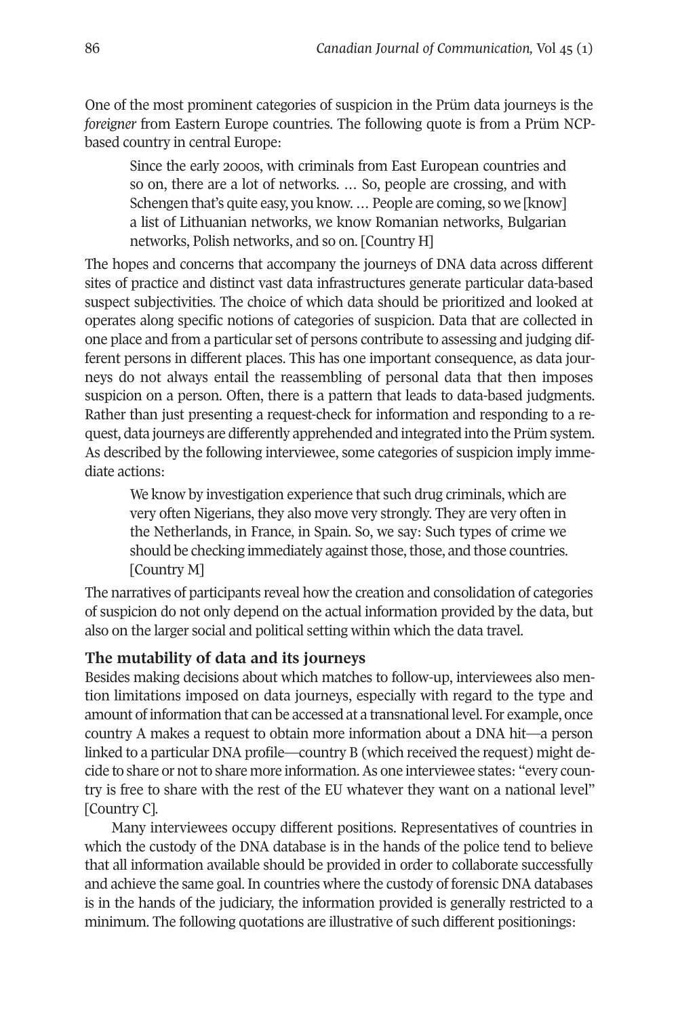One of the most prominent categories of suspicion in the Prüm data journeys is the *foreigner* from Eastern Europe countries. The following quote is from a Prüm NCPbased country in central Europe:

Since the early 2000s, with criminals from East European countries and so on, there are a lot of networks. … So, people are crossing, and with Schengen that's quite easy, you know. ... People are coming, so we [know] a list of Lithuanian networks, we know Romanian networks, Bulgarian networks, Polish networks, and so on. [Country H]

The hopes and concerns that accompany the journeys of DNA data across different sites of practice and distinct vast data infrastructures generate particular data-based suspect subjectivities. The choice of which data should be prioritized and looked at operates along specific notions of categories of suspicion. Data that are collected in one place and from a particular set of persons contribute to assessing and judging different persons in different places. This has one important consequence, as data journeys do not always entail the reassembling of personal data that then imposes suspicion on a person. Often, there is a pattern that leads to data-based judgments. Rather than just presenting a request-check for information and responding to a request, data journeys are differently apprehended and integrated into the Prüm system. As described by the following interviewee, some categories of suspicion imply immediate actions:

We know by investigation experience that such drug criminals, which are very often Nigerians, they also move very strongly. They are very often in the Netherlands, in France, in Spain. So, we say: Such types of crime we should be checking immediately against those, those, and those countries. [Country M]

The narratives of participants reveal how the creation and consolidation of categories of suspicion do not only depend on the actual information provided by the data, but also on the larger social and political setting within which the data travel.

## **The mutability of data and its journeys**

Besides making decisions about which matches to follow-up, interviewees also mention limitations imposed on data journeys, especially with regard to the type and amount of information that can be accessed at a transnational level. For example, once country A makes a request to obtain more information about a DNA hit—a person linked to a particular DNA profile—country B (which received the request) might decide to share or notto share more information.As one interviewee states: "every country is free to share with the rest of the EU whatever they want on a national level" [Country C].

Many interviewees occupy different positions. Representatives of countries in which the custody of the DNA database is in the hands of the police tend to believe that all information available should be provided in order to collaborate successfully and achieve the same goal. In countries where the custody of forensic DNA databases is in the hands of the judiciary, the information provided is generally restricted to a minimum. The following quotations are illustrative of such different positionings: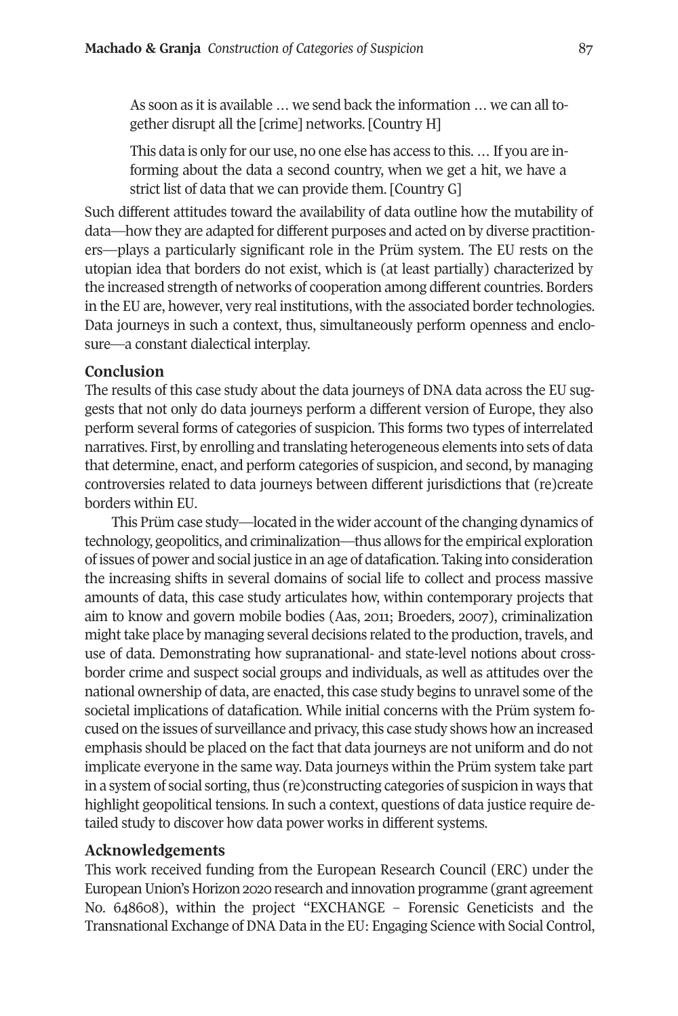As soon as it is available … we send back the information … we can all together disrupt all the [crime] networks. [Country H]

This data is only for our use, no one else has access to this. … If you are informing about the data a second country, when we get a hit, we have a strict list of data that we can provide them. [Country G]

Such different attitudes toward the availability of data outline how the mutability of data—how they are adapted for different purposes and acted on by diverse practitioners—plays a particularly significant role in the Prüm system. The EU rests on the utopian idea that borders do not exist, which is (at least partially) characterized by the increased strength of networks of cooperation among different countries. Borders in the EU are, however, very real institutions, with the associated border technologies. Data journeys in such a context, thus, simultaneously perform openness and enclosure—a constant dialectical interplay.

### **Conclusion**

The results of this case study about the data journeys of DNA data across the EU suggests that not only do data journeys perform a different version of Europe, they also perform several forms of categories of suspicion. This forms two types of interrelated narratives. First, by enrolling and translating heterogeneous elements into sets of data that determine, enact, and perform categories of suspicion, and second, by managing controversies related to data journeys between different jurisdictions that (re)create borders within EU.

This Prüm case study—located in the wider account ofthe changing dynamics of technology, geopolitics, and criminalization—thus allows forthe empirical exploration of issues of power and social justice in an age of datafication. Taking into consideration the increasing shifts in several domains of social life to collect and process massive amounts of data, this case study articulates how, within contemporary projects that aim to know and govern mobile bodies (Aas, 2011; Broeders, 2007), criminalization might take place by managing several decisions related to the production, travels, and use of data. Demonstrating how supranational- and state-level notions about crossborder crime and suspect social groups and individuals, as well as attitudes over the national ownership of data, are enacted, this case study begins to unravel some of the societal implications of datafication. While initial concerns with the Prüm system focused on the issues of surveillance and privacy, this case study shows how an increased emphasis should be placed on the fact that data journeys are not uniform and do not implicate everyone in the same way. Data journeys within the Prüm system take part in a system of social sorting, thus (re)constructing categories of suspicion in ways that highlight geopolitical tensions. In such a context, questions of data justice require detailed study to discover how data power works in different systems.

#### **Acknowledgements**

This work received funding from the European Research Council (ERC) under the EuropeanUnion's Horizon 2020 research and innovation programme (grant agreement No. 648608), within the project "EXCHANGE – Forensic Geneticists and the Transnational Exchange of DNA Data in the EU: Engaging Science with Social Control,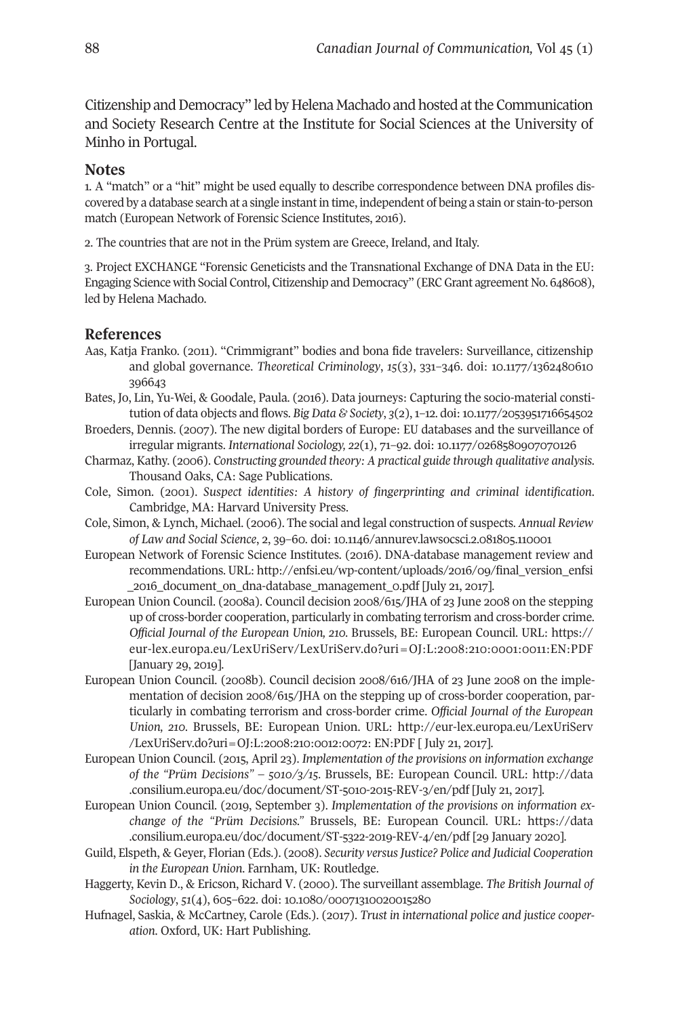Citizenship and Democracy" led by Helena Machado and hosted at the Communication and Society Research Centre at the Institute for Social Sciences at the University of Minho in Portugal.

#### <span id="page-7-0"></span>**Notes**

1. A "match" or a "hit" might be used equally to describe correspondence between DNA profiles discovered by a database search at a single instant in time, independent of being a stain or stain-to-person match (European Network of Forensic Science Institutes, 2016).

<span id="page-7-2"></span><span id="page-7-1"></span>2. The countries that are not in the Prüm system are Greece, Ireland, and Italy.

3. Project EXCHANGE "Forensic Geneticists and the Transnational Exchange of DNA Data in the EU: Engaging Science with Social Control, Citizenship and Democracy" (ERC Grant agreement No. 648608), led by Helena Machado.

## **References**

- Aas, Katja Franko. (2011). "Crimmigrant" bodies and bona fide travelers: Surveillance, citizenship and global governance. *Theoretical Criminology*, *15*(3), 331–346. doi: [10.1177/1362480610](https://doi.org/10.1177/1362480610396643) [396643](https://doi.org/10.1177/1362480610396643)
- Bates, Jo, Lin, Yu-Wei, & Goodale, Paula. (2016). Data journeys: Capturing the socio-material constitution of data objects and flows. *Big Data & Society*, *3*(2),1–12. doi:[10.1177/2053951716654502](https://doi.org/10.1177/2053951716654502)
- Broeders, Dennis. (2007). The new digital borders of Europe: EU databases and the surveillance of irregular migrants. *International Sociology, 22*(1), 71–92. doi: [10.1177/0268580907070126](https://doi.org/10.1177%2F0268580907070126)
- Charmaz, Kathy. (2006). *Constructing grounded theory: A practical guide through qualitative analysis*. Thousand Oaks, CA: Sage Publications.
- Cole, Simon. (2001). *Suspect identities: A history of fingerprinting and criminal identification*. Cambridge, MA: Harvard University Press.
- Cole, Simon, & Lynch, Michael. (2006). The social and legal construction of suspects. *Annual Review of Law and Social Science*, 2, 39–60. doi: [10.1146/annurev.lawsocsci.2.081805.110001](https://doi.org/10.1146/annurev.lawsocsci.2.081805.110001)
- European Network of Forensic Science Institutes. (2016). DNA-database management review and recommendations. URL: [http://enfsi.eu/wp-content/uploads/2016/09/final\\_version\\_enfsi](http://enfsi.eu/wp-content/uploads/2016/09/final_version_enfsi_2016_document_on_dna-database_management_0.pdf) [\\_2016\\_document\\_on\\_dna-database\\_management\\_0.pdf](http://enfsi.eu/wp-content/uploads/2016/09/final_version_enfsi_2016_document_on_dna-database_management_0.pdf) [July 21, 2017].
- European Union Council. (2008a). Council decision 2008/615/JHA of 23 June 2008 on the stepping up of cross-border cooperation, particularly in combating terrorism and cross-border crime. *Official Journal of the European Union, 210.* Brussels, BE: European Council. URL: [https://](https://eur-lex.europa.eu/LexUriServ/LexUriServ.do?uri=OJ:L:2008:210:0001:0011:EN:PDF) [eur-lex.europa.eu/LexUriServ/LexUriServ.do?uri=OJ:L:2008:210:0001:0011:EN:PDF](https://eur-lex.europa.eu/LexUriServ/LexUriServ.do?uri=OJ:L:2008:210:0001:0011:EN:PDF) [January 29, 2019].
- European Union Council. (2008b). Council decision 2008/616/JHA of 23 June 2008 on the implementation of decision 2008/615/JHA on the stepping up of cross-border cooperation, particularly in combating terrorism and cross-border crime. *Official Journal of the European Union, 210.* Brussels, BE: European Union. URL: http://eur-lex.europa.eu/LexUriServ /LexUriServ.do?uri=OJ:L:2008:210:0012:0072: EN:PDF [ July 21, 2017].
- European Union Council. (2015, April 23). *Implementation of the provisions on information exchange of the "Prüm Decisions" – 5010/3/15.* Brussels, BE: European Council. URL: [http://data](http://data.consilium.europa.eu/doc/document/ST-5010-2015-REV-3/en/pdf) [.consilium.europa.eu/doc/document/ST-5010-2015-REV-3/en/pdf](http://data.consilium.europa.eu/doc/document/ST-5010-2015-REV-3/en/pdf) [July 21, 2017].
- European Union Council. (2019, September 3). *Implementation of the provisions on information exchange of the "Prüm Decisions."* Brussels, BE: European Council. URL: [https://data](https://data.consilium.europa.eu/doc/document/ST-5322-2019-REV-4/en/pdf) [.consilium.europa.eu/doc/document/ST-5322-2019-REV-4/en/pdf](https://data.consilium.europa.eu/doc/document/ST-5322-2019-REV-4/en/pdf) [29 January 2020].
- Guild, Elspeth, & Geyer, Florian (Eds.). (2008). *Security versusJustice? Police and Judicial Cooperation in the European Union*. Farnham, UK: Routledge.
- Haggerty, Kevin D., & Ericson, Richard V. (2000). The surveillant assemblage. *The British Journal of Sociology*, *51*(4), 605–622. doi: [10.1080/00071310020015280](https://doi.org/10.1080/00071310020015280)
- Hufnagel, Saskia, & McCartney, Carole (Eds.). (2017). *Trust in international police and justice cooperation*. Oxford, UK: Hart Publishing.